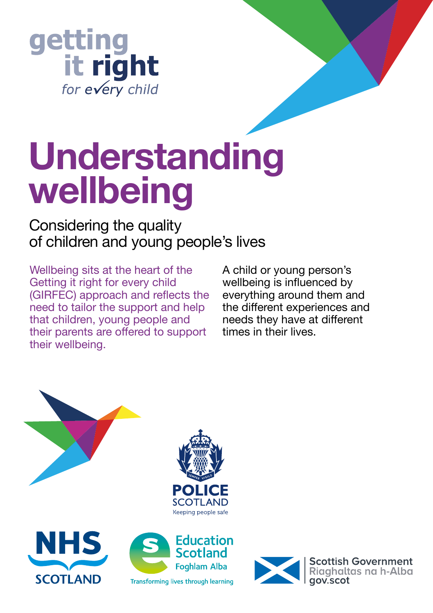

# **Understanding wellbeing**

# Considering the quality of children and young people's lives

Wellbeing sits at the heart of the Getting it right for every child (GIRFEC) approach and reflects the need to tailor the support and help that children, young people and their parents are offered to support their wellbeing.

A child or young person's wellbeing is influenced by everything around them and the different experiences and needs they have at different times in their lives.



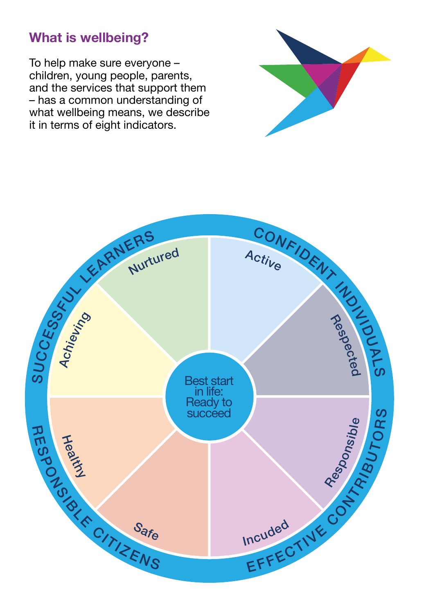## **What is wellbeing?**

To help make sure everyone – children, young people, parents, and the services that support them – has a common understanding of what wellbeing means, we describe it in terms of eight indicators.



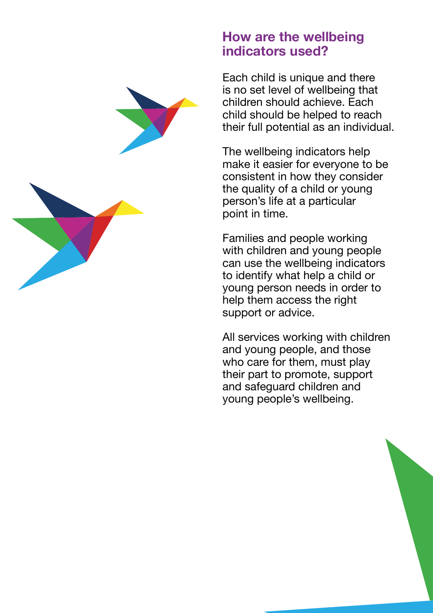#### **How are the wellbeing indicators used?**

Each child is unique and there is no set level of wellbeing that children should achieve. Each child should be helped to reach their full potential as an individual.

The wellbeing indicators help make it easier for everyone to be consistent in how they consider the quality of a child or young person's life at a particular point in time.

Families and people working with children and young people can use the wellbeing indicators to identify what help a child or young person needs in order to help them access the right support or advice.

All services working with children and young people, and those who care for them, must play their part to promote, support and safeguard children and young people's wellbeing.



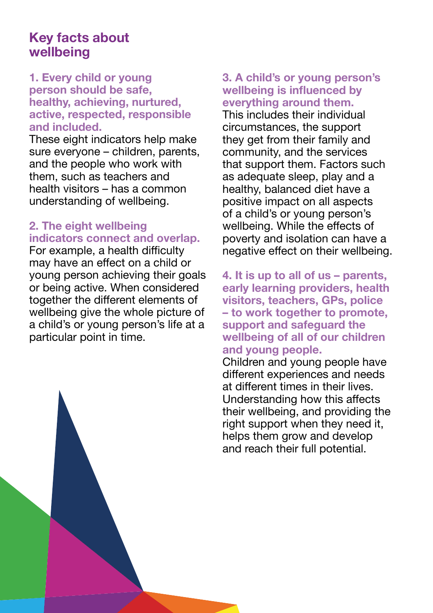### **Key facts about wellbeing**

#### **1. Every child or young person should be safe, healthy, achieving, nurtured, active, respected, responsible and included.**

These eight indicators help make sure everyone – children, parents, and the people who work with them, such as teachers and health visitors – has a common understanding of wellbeing.

#### **2. The eight wellbeing indicators connect and overlap.**

For example, a health difficulty may have an effect on a child or young person achieving their goals or being active. When considered together the different elements of wellbeing give the whole picture of a child's or young person's life at a particular point in time.

#### **3. A child's or young person's wellbeing is influenced by everything around them.**

This includes their individual circumstances, the support they get from their family and community, and the services that support them. Factors such as adequate sleep, play and a healthy, balanced diet have a positive impact on all aspects of a child's or young person's wellbeing. While the effects of poverty and isolation can have a negative effect on their wellbeing.

**4. It is up to all of us – parents, early learning providers, health visitors, teachers, GPs, police – to work together to promote, support and safeguard the wellbeing of all of our children and young people.** 

Children and young people have different experiences and needs at different times in their lives. Understanding how this affects their wellbeing, and providing the right support when they need it, helps them grow and develop and reach their full potential.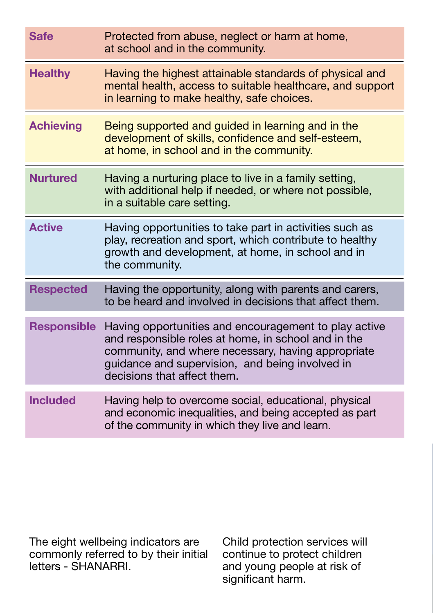| <b>Safe</b>        | Protected from abuse, neglect or harm at home,<br>at school and in the community.                                                                                                                                                                    |
|--------------------|------------------------------------------------------------------------------------------------------------------------------------------------------------------------------------------------------------------------------------------------------|
| <b>Healthy</b>     | Having the highest attainable standards of physical and<br>mental health, access to suitable healthcare, and support<br>in learning to make healthy, safe choices.                                                                                   |
| <b>Achieving</b>   | Being supported and guided in learning and in the<br>development of skills, confidence and self-esteem,<br>at home, in school and in the community.                                                                                                  |
| <b>Nurtured</b>    | Having a nurturing place to live in a family setting,<br>with additional help if needed, or where not possible,<br>in a suitable care setting.                                                                                                       |
| <b>Active</b>      | Having opportunities to take part in activities such as<br>play, recreation and sport, which contribute to healthy<br>growth and development, at home, in school and in<br>the community.                                                            |
| <b>Respected</b>   | Having the opportunity, along with parents and carers,<br>to be heard and involved in decisions that affect them.                                                                                                                                    |
| <b>Responsible</b> | Having opportunities and encouragement to play active<br>and responsible roles at home, in school and in the<br>community, and where necessary, having appropriate<br>guidance and supervision, and being involved in<br>decisions that affect them. |
| <b>Included</b>    | Having help to overcome social, educational, physical<br>and economic inequalities, and being accepted as part<br>of the community in which they live and learn.                                                                                     |

The eight wellbeing indicators are commonly referred to by their initial letters - SHANARRI.

Child protection services will continue to protect children and young people at risk of significant harm.